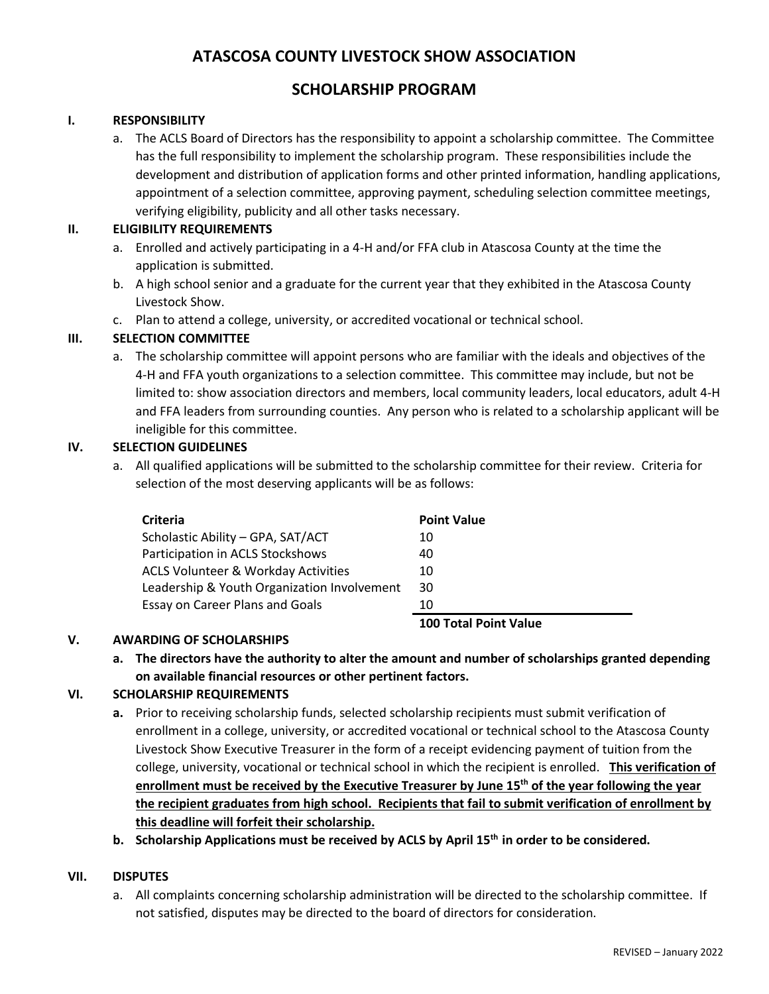## **ATASCOSA COUNTY LIVESTOCK SHOW ASSOCIATION**

### **SCHOLARSHIP PROGRAM**

#### **I. RESPONSIBILITY**

a. The ACLS Board of Directors has the responsibility to appoint a scholarship committee. The Committee has the full responsibility to implement the scholarship program. These responsibilities include the development and distribution of application forms and other printed information, handling applications, appointment of a selection committee, approving payment, scheduling selection committee meetings, verifying eligibility, publicity and all other tasks necessary.

#### **II. ELIGIBILITY REQUIREMENTS**

- a. Enrolled and actively participating in a 4-H and/or FFA club in Atascosa County at the time the application is submitted.
- b. A high school senior and a graduate for the current year that they exhibited in the Atascosa County Livestock Show.
- c. Plan to attend a college, university, or accredited vocational or technical school.

#### **III. SELECTION COMMITTEE**

a. The scholarship committee will appoint persons who are familiar with the ideals and objectives of the 4-H and FFA youth organizations to a selection committee. This committee may include, but not be limited to: show association directors and members, local community leaders, local educators, adult 4-H and FFA leaders from surrounding counties. Any person who is related to a scholarship applicant will be ineligible for this committee.

#### **IV. SELECTION GUIDELINES**

a. All qualified applications will be submitted to the scholarship committee for their review. Criteria for selection of the most deserving applicants will be as follows:

| <b>Criteria</b>                                | <b>Point Value</b>           |
|------------------------------------------------|------------------------------|
| Scholastic Ability - GPA, SAT/ACT              | 10                           |
| Participation in ACLS Stockshows               | 40                           |
| <b>ACLS Volunteer &amp; Workday Activities</b> | 10                           |
| Leadership & Youth Organization Involvement    | 30                           |
| Essay on Career Plans and Goals                | 10                           |
|                                                | <b>100 Total Point Value</b> |

#### **V. AWARDING OF SCHOLARSHIPS**

**a. The directors have the authority to alter the amount and number of scholarships granted depending on available financial resources or other pertinent factors.**

#### **VI. SCHOLARSHIP REQUIREMENTS**

**a.** Prior to receiving scholarship funds, selected scholarship recipients must submit verification of enrollment in a college, university, or accredited vocational or technical school to the Atascosa County Livestock Show Executive Treasurer in the form of a receipt evidencing payment of tuition from the college, university, vocational or technical school in which the recipient is enrolled. **This verification of enrollment must be received by the Executive Treasurer by June 15th of the year following the year the recipient graduates from high school. Recipients that fail to submit verification of enrollment by this deadline will forfeit their scholarship.** 

**b. Scholarship Applications must be received by ACLS by April 15th in order to be considered.** 

#### **VII. DISPUTES**

a. All complaints concerning scholarship administration will be directed to the scholarship committee. If not satisfied, disputes may be directed to the board of directors for consideration.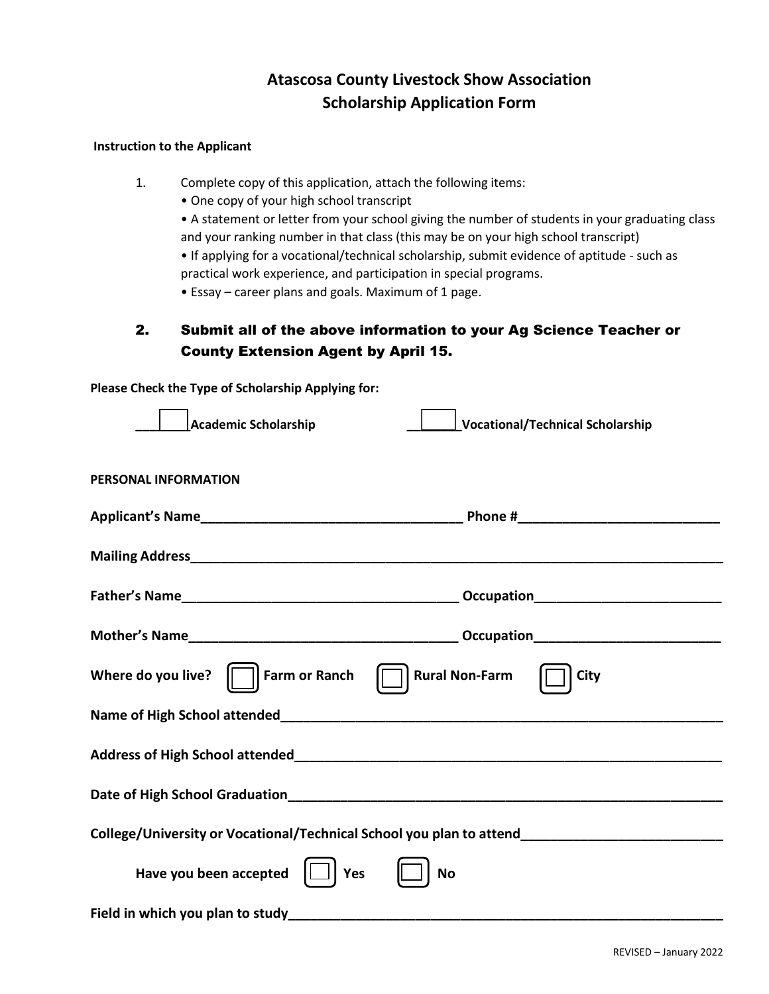# **Atascosa County Livestock Show Association Scholarship Application Form**

#### **Instruction to the Applicant**

1. Complete copy of this application, attach the following items:

- One copy of your high school transcript
- A statement or letter from your school giving the number of students in your graduating class and your ranking number in that class (this may be on your high school transcript)

• If applying for a vocational/technical scholarship, submit evidence of aptitude - such as practical work experience, and participation in special programs.

• Essay – career plans and goals. Maximum of 1 page.

## 2. Submit all of the above information to your Ag Science Teacher or County Extension Agent by April 15.

**Please Check the Type of Scholarship Applying for:**

| <b>Academic Scholarship</b><br>Vocational/Technical Scholarship                                     |  |  |
|-----------------------------------------------------------------------------------------------------|--|--|
| <b>PERSONAL INFORMATION</b>                                                                         |  |  |
|                                                                                                     |  |  |
|                                                                                                     |  |  |
|                                                                                                     |  |  |
|                                                                                                     |  |  |
| Where do you live?<br>$\Box$ Farm or Ranch<br><b>Rural Non-Farm</b><br><b>City</b>                  |  |  |
|                                                                                                     |  |  |
|                                                                                                     |  |  |
|                                                                                                     |  |  |
| College/University or Vocational/Technical School you plan to attend_______________________________ |  |  |
| Have you been accepted $\Box$<br>Yes<br><b>No</b>                                                   |  |  |
|                                                                                                     |  |  |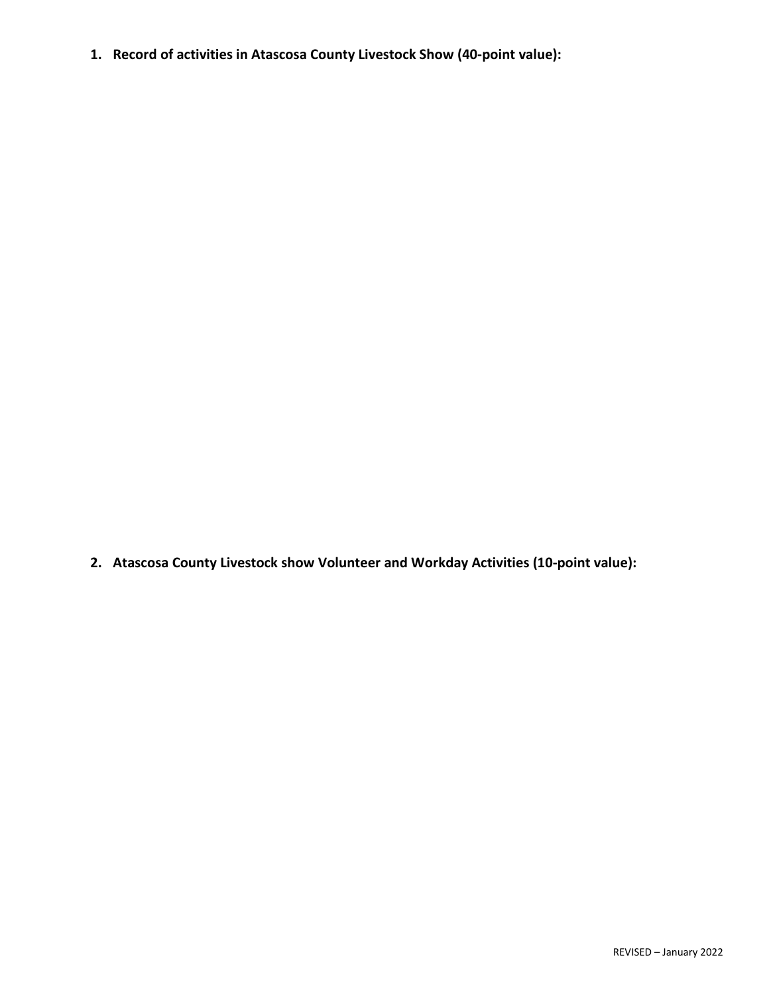**1. Record of activities in Atascosa County Livestock Show (40-point value):**

**2. Atascosa County Livestock show Volunteer and Workday Activities (10-point value):**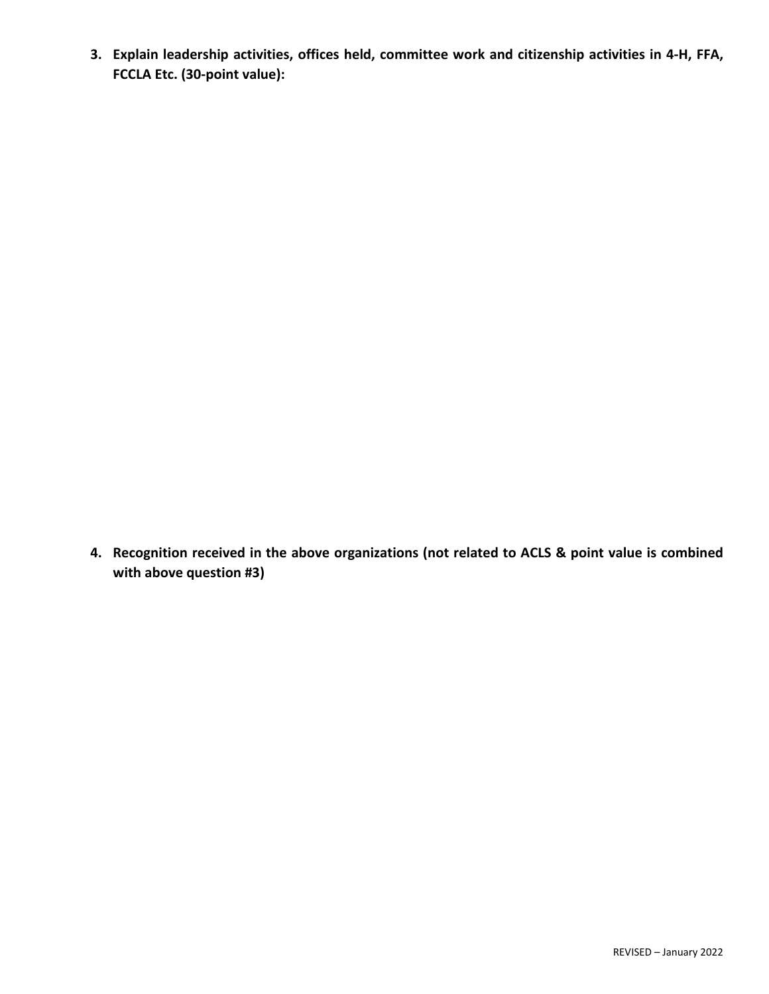**3. Explain leadership activities, offices held, committee work and citizenship activities in 4-H, FFA, FCCLA Etc. (30-point value):**

**4. Recognition received in the above organizations (not related to ACLS & point value is combined with above question #3)**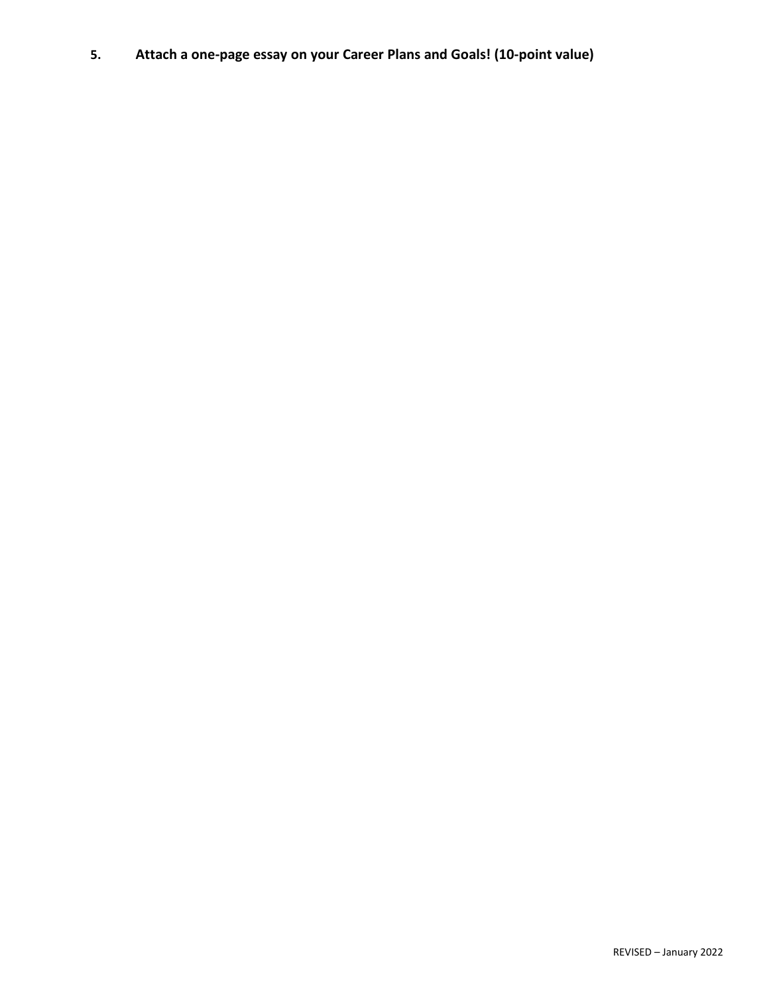**5. Attach a one-page essay on your Career Plans and Goals! (10-point value)**